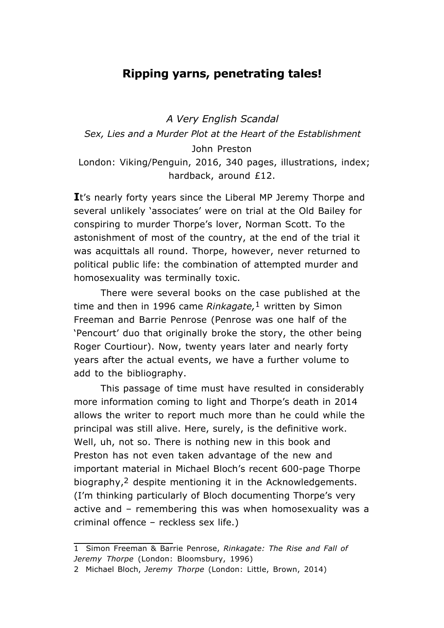## **Ripping yarns, penetrating tales!**

*A Very English Scandal Sex, Lies and a Murder Plot at the Heart of the Establishment* John Preston London: Viking/Penguin, 2016, 340 pages, illustrations, index; hardback, around £12.

It's nearly forty years since the Liberal MP Jeremy Thorpe and several unlikely 'associates' were on trial at the Old Bailey for conspiring to murder Thorpe's lover, Norman Scott. To the astonishment of most of the country, at the end of the trial it was acquittals all round. Thorpe, however, never returned to political public life: the combination of attempted murder and homosexuality was terminally toxic.

There were several books on the case published at the time and then in 1996 came *Rinkagate,*1 written by Simon Freeman and Barrie Penrose (Penrose was one half of the 'Pencourt' duo that originally broke the story, the other being Roger Courtiour). Now, twenty years later and nearly forty years after the actual events, we have a further volume to add to the bibliography.

This passage of time must have resulted in considerably more information coming to light and Thorpe's death in 2014 allows the writer to report much more than he could while the principal was still alive. Here, surely, is the definitive work. Well, uh, not so. There is nothing new in this book and Preston has not even taken advantage of the new and important material in Michael Bloch's recent 600-page Thorpe biography,2 despite mentioning it in the Acknowledgements. (I'm thinking particularly of Bloch documenting Thorpe's very active and – remembering this was when homosexuality was a criminal offence – reckless sex life.)

<sup>1</sup> Simon Freeman & Barrie Penrose, *Rinkagate: The Rise and Fall of Jeremy Thorpe* (London: Bloomsbury, 1996)

<sup>2</sup> Michael Bloch, *Jeremy Thorpe* (London: Little, Brown, 2014)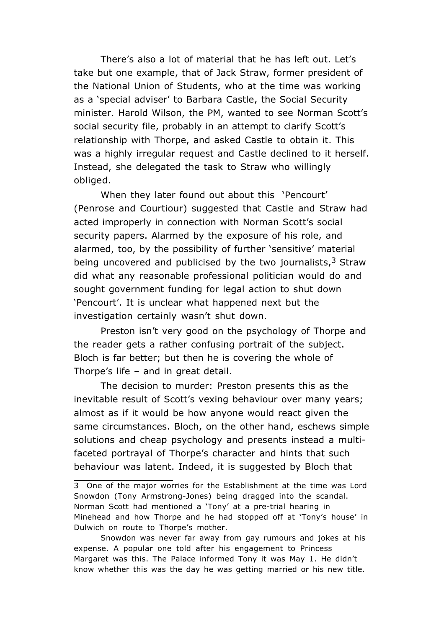There's also a lot of material that he has left out. Let's take but one example, that of Jack Straw, former president of the National Union of Students, who at the time was working as a 'special adviser' to Barbara Castle, the Social Security minister. Harold Wilson, the PM, wanted to see Norman Scott's social security file, probably in an attempt to clarify Scott's relationship with Thorpe, and asked Castle to obtain it. This was a highly irregular request and Castle declined to it herself. Instead, she delegated the task to Straw who willingly obliged.

When they later found out about this 'Pencourt' (Penrose and Courtiour) suggested that Castle and Straw had acted improperly in connection with Norman Scott's social security papers. Alarmed by the exposure of his role, and alarmed, too, by the possibility of further 'sensitive' material being uncovered and publicised by the two journalists,  $3$  Straw did what any reasonable professional politician would do and sought government funding for legal action to shut down 'Pencourt'. It is unclear what happened next but the investigation certainly wasn't shut down.

Preston isn't very good on the psychology of Thorpe and the reader gets a rather confusing portrait of the subject. Bloch is far better; but then he is covering the whole of Thorpe's life – and in great detail.

The decision to murder: Preston presents this as the inevitable result of Scott's vexing behaviour over many years; almost as if it would be how anyone would react given the same circumstances. Bloch, on the other hand, eschews simple solutions and cheap psychology and presents instead a multifaceted portrayal of Thorpe's character and hints that such behaviour was latent. Indeed, it is suggested by Bloch that

<sup>3</sup> One of the major worries for the Establishment at the time was Lord Snowdon (Tony Armstrong-Jones) being dragged into the scandal. Norman Scott had mentioned a 'Tony' at a pre-trial hearing in Minehead and how Thorpe and he had stopped off at 'Tony's house' in Dulwich on route to Thorpe's mother.

Snowdon was never far away from gay rumours and jokes at his expense. A popular one told after his engagement to Princess Margaret was this. The Palace informed Tony it was May 1. He didn't know whether this was the day he was getting married or his new title.